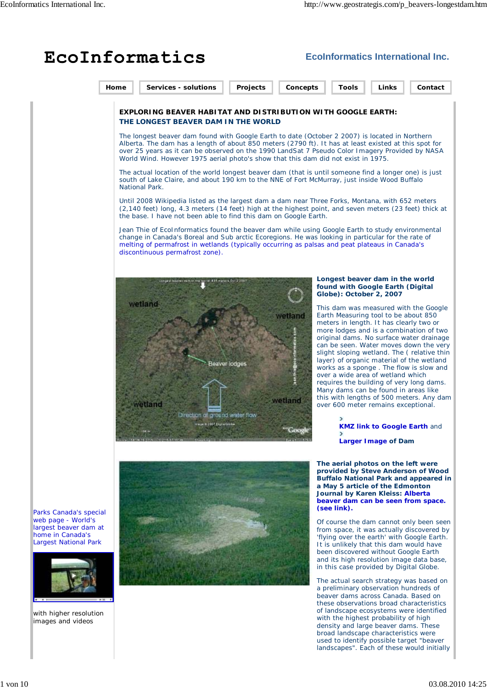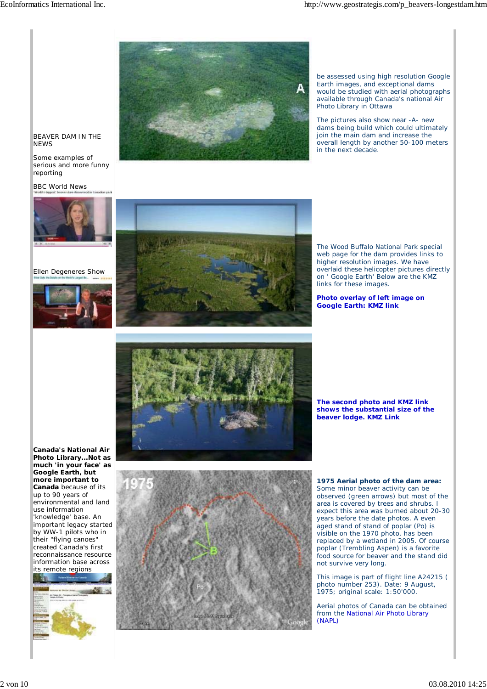

be assessed using high resolution Google Earth images, and exceptional dams would be studied with aerial photographs available through Canada's national Air Photo Library in Ottawa

The pictures also show near -A- new dams being build which could ultimately join the main dam and increase the overall length by another 50-100 meters in the next decade.

## BEAVER DAM IN THE **NEWS**

Some examples of serious and more funny reporting

BBC World News



Ellen Degeneres Show





The Wood Buffalo National Park special web page for the dam provides links to higher resolution images. We have overlaid these helicopter pictures directly on ' Google Earth' Below are the KMZ links for these images.

## **Photo overlay of left image on Google Earth: KMZ link**



**The second photo and KMZ link shows the substantial size of the beaver lodge. KMZ Link**

**Canada's National Air Photo Library...Not as much 'in your face' as Google Earth, but more important to Canada** because of its up to 90 years of environmental and land use information 'knowledge' base. An important legacy started by WW-1 pilots who in their "flying canoes" created Canada's first reconnaissance resource information base across its remote regions





**1975 Aerial photo of the dam area:** Some minor beaver activity can be observed (green arrows) but most of the area is covered by trees and shrubs. I expect this area was burned about 20-30 years before the date photos. A even aged stand of stand of poplar (Po) is visible on the 1970 photo, has been replaced by a wetland in 2005. Of course poplar (Trembling Aspen) is a favorite food source for beaver and the stand did not survive very long.

This image is part of flight line A24215 ( photo number 253). Date: 9 August, 1975; original scale: 1:50'000.

Aerial photos of Canada can be obtained from the National Air Photo Library (NAPL)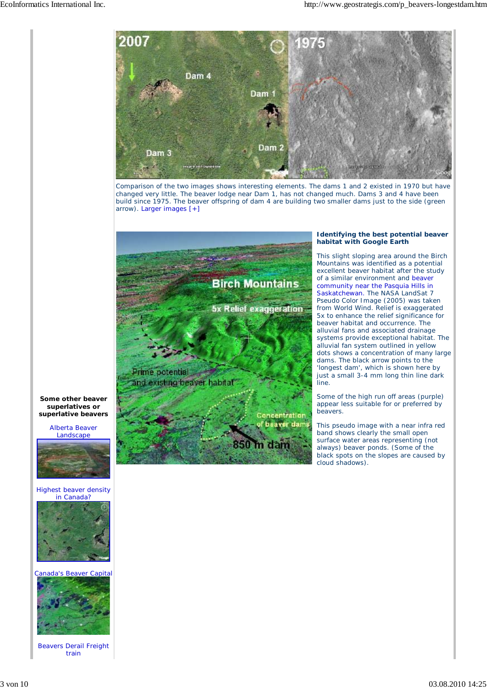

Comparison of the two images shows interesting elements. The dams 1 and 2 existed in 1970 but have changed very little. The beaver lodge near Dam 1, has not changed much. Dams 3 and 4 have been build since 1975. The beaver offspring of dam 4 are building two smaller dams just to the side (green arrow). Larger images [+]



## **Identifying the best potential beaver habitat with Google Earth**

This slight sloping area around the Birch Mountains was identified as a potential excellent beaver habitat after the study of a similar environment and beaver community near the Pasquia Hills in Saskatchewan. The NASA LandSat 7 Pseudo Color Image (2005) was taken from World Wind. Relief is exaggerated 5x to enhance the relief significance for beaver habitat and occurrence. The alluvial fans and associated drainage systems provide exceptional habitat. The alluvial fan system outlined in yellow dots shows a concentration of many large dams. The black arrow points to the 'longest dam', which is shown here by just a small 3-4 mm long thin line dark line.

Some of the high run off areas (purple) appear less suitable for or preferred by beavers.

This pseudo image with a near infra red band shows clearly the small open surface water areas representing (not always) beaver ponds. (Some of the black spots on the slopes are caused by cloud shadows).

**Some other beaver superlatives or superlative beavers**

> Alberta Beaver Landscape



Highest beaver density in Canada?



## Canada's Beaver Capital



Beavers Derail Freight train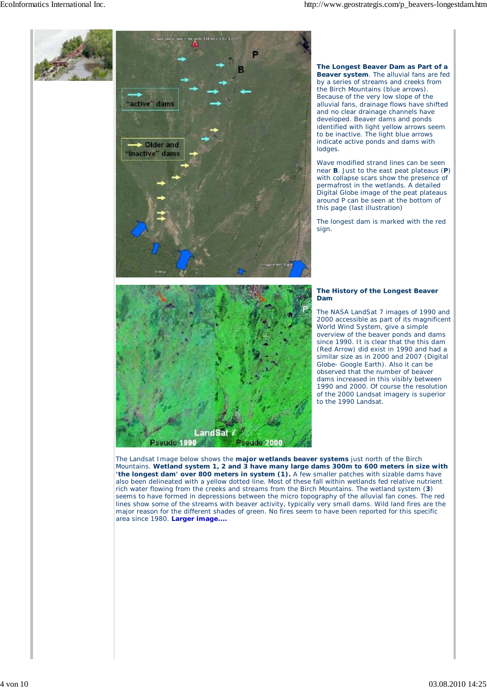

Mountains. **Wetland system 1, 2 and 3 have many large dams 300m to 600 meters in size with 'the longest dam' over 800 meters in system (1).** A few smaller patches with sizable dams have also been delineated with a yellow dotted line. Most of these fall within wetlands fed relative nutrient rich water flowing from the creeks and streams from the Birch Mountains. The wetland system (**3**) seems to have formed in depressions between the micro topography of the alluvial fan cones. The red lines show some of the streams with beaver activity, typically very small dams. Wild land fires are the major reason for the different shades of green. No fires seem to have been reported for this specific area since 1980. **Larger image....**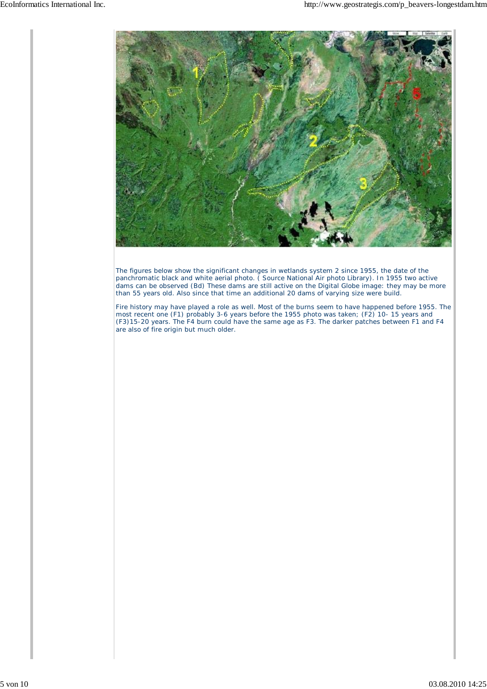

The figures below show the significant changes in wetlands system 2 since 1955, the date of the panchromatic black and white aerial photo. ( Source National Air photo Library). In 1955 two active dams can be observed (Bd) These dams are still active on the Digital Globe image: they may be more than 55 years old. Also since that time an additional 20 dams of varying size were build.

Fire history may have played a role as well. Most of the burns seem to have happened before 1955. The most recent one (F1) probably 3-6 years before the 1955 photo was taken; (F2) 10- 15 years and (F3)15-20 years. The F4 burn could have the same age as F3. The darker patches between F1 and F4 are also of fire origin but much older.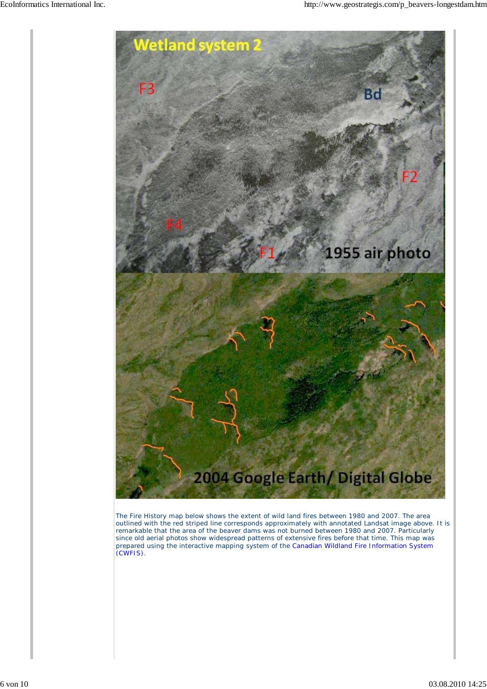

The Fire History map below shows the extent of wild land fires between 1980 and 2007. The area outlined with the red striped line corresponds approximately with annotated Landsat image above. It is remarkable that the area of the beaver dams was not burned between 1980 and 2007. Particularly since old aerial photos show widespread patterns of extensive fires before that time. This map was prepared using the interactive mapping system of the Canadian Wildland Fire Information System (CWFIS).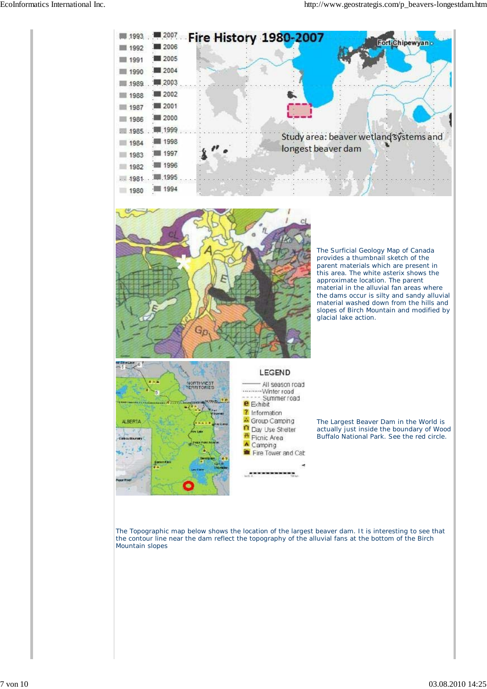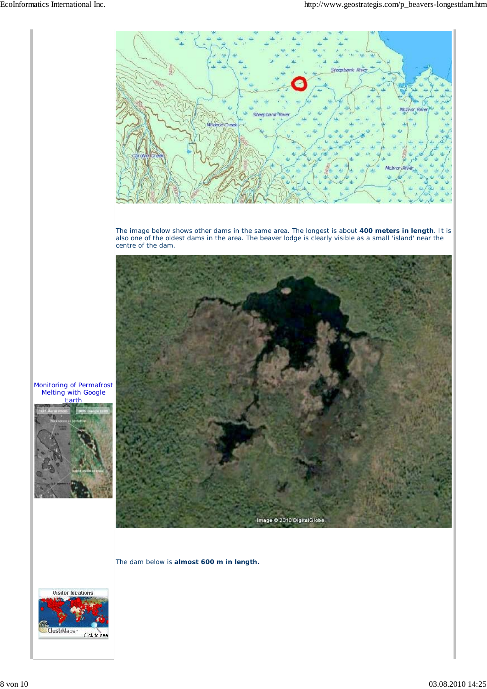

The dam below is **almost 600 m in length.**



Earth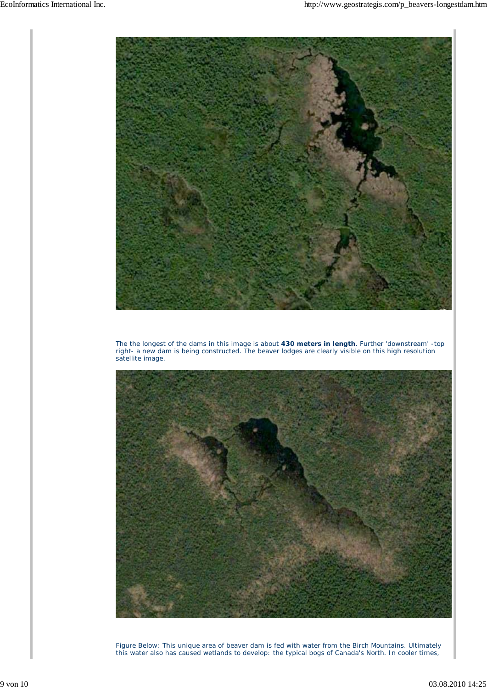

The the longest of the dams in this image is about **430 meters in length**. Further 'downstream' -top right- a new dam is being constructed. The beaver lodges are clearly visible on this high resolution satellite image.



Figure Below: This unique area of beaver dam is fed with water from the Birch Mountains. Ultimately this water also has caused wetlands to develop: the typical bogs of Canada's North. In cooler times,